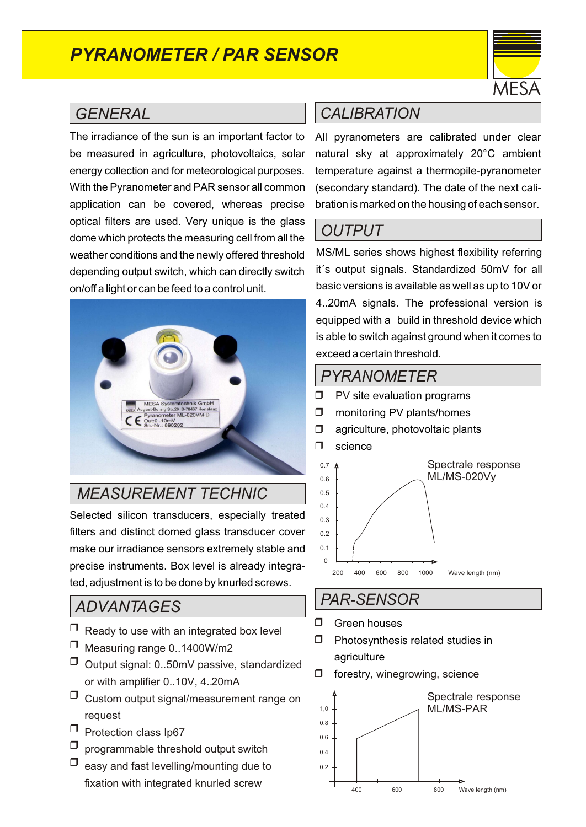# *PYRANOMETER / PAR SENSOR*



## *GENERAL*

The irradiance of the sun is an important factor to be measured in agriculture, photovoltaics, solar energy collection and for meteorological purposes. With the Pyranometer and PAR sensor all common application can be covered, whereas precise optical filters are used. Very unique is the glass dome which protects the measuring cell from all the weather conditions and the newly offered threshold depending output switch, which can directly switch on/off a light or can be feed to a control unit.



## *MEASUREMENT TECHNIC*

Selected silicon transducers, especially treated filters and distinct domed glass transducer cover make our irradiance sensors extremely stable and precise instruments. Box level is already integrated, adjustment is to be done by knurled screws.

## *ADVANTAGES*

- $\Box$  Ready to use with an integrated box level
- $\Box$  Measuring range 0..1400W/m2
- $\Box$  Output signal: 0..50mV passive, standardized or with amplifier 0..10V, 4..20mA
- $\Box$  Custom output signal/measurement range on request
- $\Box$  Protection class Ip67
- programmable threshold output switch  $\Box$
- easy and fast levelling/mounting due to fixation with integrated knurled screw  $\Box$

## *CALIBRATION*

All pyranometers are calibrated under clear natural sky at approximately 20°C ambient temperature against a thermopile-pyranometer (secondary standard). The date of the next calibration is marked on the housing of each sensor.

## *OUTPUT*

MS/ML series shows highest flexibility referring it´s output signals. Standardized 50mV for all basic versions is available as well as up to 10V or 4..20mA signals. The professional version is equipped with a build in threshold device which is able to switch against ground when it comes to exceed a certain threshold.

### *PYRANOMETER*

- $\Box$ PV site evaluation programs
- $\Box$ monitoring PV plants/homes
- $\Box$ agriculture, photovoltaic plants
- $\Box$ science



## *PAR-SENSOR*

- G reen houses  $\Box$
- P hotosynthesis related studies in agriculture  $\Box$